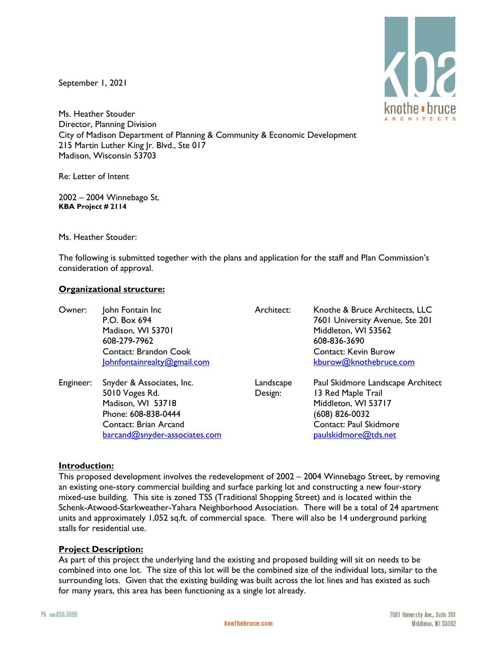September 1, 2021



Ms. Heather Stouder Director, Planning Division City of Madison Department of Planning & Community & Economic Development 215 Martin Luther King Jr. Blvd., Ste 017 Madison, Wisconsin 53703

Re: Letter of Intent

2002 – 2004 Winnebago St. **KBA Project # 2114**

Ms. Heather Stouder:

The following is submitted together with the plans and application for the staff and Plan Commission's consideration of approval.

## **Organizational structure:**

| Owner:    | John Fontain Inc<br>P.O. Box 694<br>Madison, WI 53701<br>608-279-7962<br><b>Contact: Brandon Cook</b><br>Johnfontainrealty@gmail.com              | Architect:           | Knothe & Bruce Architects, LLC<br>7601 University Avenue, Ste 201<br>Middleton, WI 53562<br>608-836-3690<br><b>Contact: Kevin Burow</b><br>kburow@knothebruce.com |
|-----------|---------------------------------------------------------------------------------------------------------------------------------------------------|----------------------|-------------------------------------------------------------------------------------------------------------------------------------------------------------------|
| Engineer: | Snyder & Associates, Inc.<br>5010 Voges Rd.<br>Madison, WI 53718<br>Phone: 608-838-0444<br>Contact: Brian Arcand<br>barcand@snyder-associates.com | Landscape<br>Design: | Paul Skidmore Landscape Architect<br>13 Red Maple Trail<br>Middleton, WI 53717<br>(608) 826-0032<br>Contact: Paul Skidmore<br>paulskidmore@tds.net                |

## **Introduction:**

This proposed development involves the redevelopment of 2002 – 2004 Winnebago Street, by removing an existing one-story commercial building and surface parking lot and constructing a new four-story mixed-use building. This site is zoned TSS (Traditional Shopping Street) and is located within the Schenk-Atwood-Starkweather-Yahara Neighborhood Association. There will be a total of 24 apartment units and approximately 1,052 sq.ft. of commercial space. There will also be 14 underground parking stalls for residential use.

## **Project Description:**

As part of this project the underlying land the existing and proposed building will sit on needs to be combined into one lot. The size of this lot will be the combined size of the individual lots, similar to the surrounding lots. Given that the existing building was built across the lot lines and has existed as such for many years, this area has been functioning as a single lot already.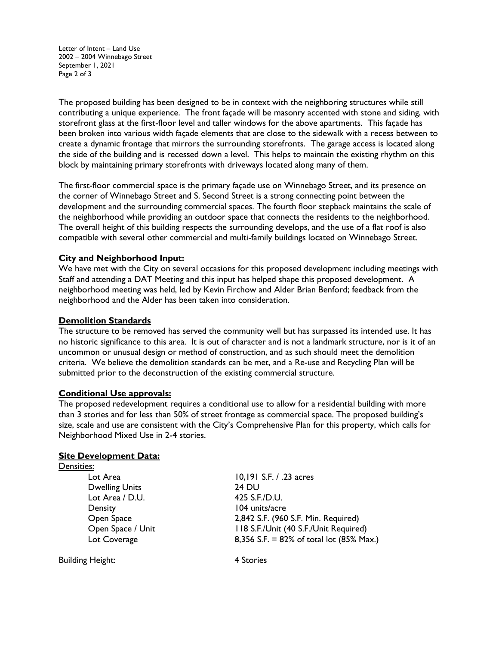Letter of Intent – Land Use 2002 – 2004 Winnebago Street September 1, 2021 Page 2 of 3

The proposed building has been designed to be in context with the neighboring structures while still contributing a unique experience. The front façade will be masonry accented with stone and siding, with storefront glass at the first-floor level and taller windows for the above apartments. This façade has been broken into various width façade elements that are close to the sidewalk with a recess between to create a dynamic frontage that mirrors the surrounding storefronts. The garage access is located along the side of the building and is recessed down a level. This helps to maintain the existing rhythm on this block by maintaining primary storefronts with driveways located along many of them.

The first-floor commercial space is the primary façade use on Winnebago Street, and its presence on the corner of Winnebago Street and S. Second Street is a strong connecting point between the development and the surrounding commercial spaces. The fourth floor stepback maintains the scale of the neighborhood while providing an outdoor space that connects the residents to the neighborhood. The overall height of this building respects the surrounding develops, and the use of a flat roof is also compatible with several other commercial and multi-family buildings located on Winnebago Street.

## **City and Neighborhood Input:**

We have met with the City on several occasions for this proposed development including meetings with Staff and attending a DAT Meeting and this input has helped shape this proposed development. A neighborhood meeting was held, led by Kevin Firchow and Alder Brian Benford; feedback from the neighborhood and the Alder has been taken into consideration.

## **Demolition Standards**

The structure to be removed has served the community well but has surpassed its intended use. It has no historic significance to this area. It is out of character and is not a landmark structure, nor is it of an uncommon or unusual design or method of construction, and as such should meet the demolition criteria. We believe the demolition standards can be met, and a Re-use and Recycling Plan will be submitted prior to the deconstruction of the existing commercial structure.

#### **Conditional Use approvals:**

The proposed redevelopment requires a conditional use to allow for a residential building with more than 3 stories and for less than 50% of street frontage as commercial space. The proposed building's size, scale and use are consistent with the City's Comprehensive Plan for this property, which calls for Neighborhood Mixed Use in 2-4 stories.

#### **Site Development Data:**

| Densities:            |                                                     |
|-----------------------|-----------------------------------------------------|
| Lot Area              | 10,191 S.F. / .23 acres                             |
| <b>Dwelling Units</b> | 24 DU                                               |
| Lot Area / D.U.       | 425 S.F./D.U.                                       |
| Density               | 104 units/acre                                      |
| Open Space            | 2,842 S.F. (960 S.F. Min. Required)                 |
| Open Space / Unit     | 118 S.F./Unit (40 S.F./Unit Required)               |
| Lot Coverage          | 8,356 S.F. = 82% of total lot $(85\% \text{ Max.})$ |
|                       |                                                     |

Building Height: 4 Stories